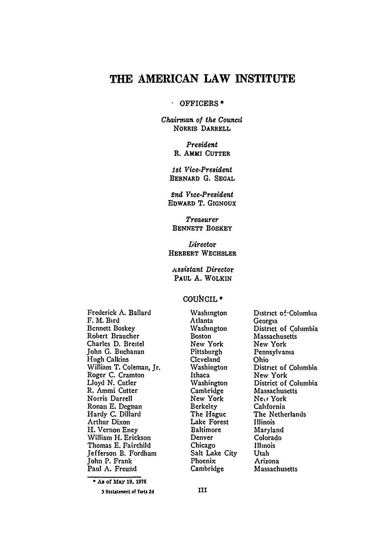# **THE AMERICAN LAW INSTITUTE**

#### $\mathbf{a}$  . OFFICERS **\***

Chairman of the Council NORRIS DARRELL

> *President* R. AMMI **CUTTER**

*1st Vice-President* BERNARD **G. SEGAL**

*2nd Vce-President* EDWARD T. GIGNOUX

*Treasurer* **BENNETT** BOSKEY

Director HERBERT WECHSLER

*Assistant Director* **PAUL A.** WOLKIN

### COURICIL **\***

Frederick **A.** Ballard F. M. Bird Bennett Boskey Robert Braucher Charles **D.** Breitel John **G.** Buchanan Hugh Calkins William T. Coleman, Jr. Roger **C.** Cramton Lloyd **N.** Cutler R. Ammi Cutter Norris Darrell Ronan **E.** Degnan Hardy **C.** Dillard Arthur Dixon **H.** Vernon Eney William H. Erickson Thomas **E.** Fairchild Jefferson B. Fordham John P. Frank Paul **A.** Freund

Washington Atlanta Washington Boston **New** York Pittsburgh Cleveland Washington Ithaca Washington Cambridge New York Berkeley The Hague Lake Forest Baltimore Denver Chicago Salt Lake City Phoenix Cambridge

District of-Columbia Georgia District of Columbia Massachusetts New York Pennsylvania Ohio District of Columbia New York District of Columbia Massachusetts Nexr York California The Netherlands Illinois Maryland Colorado Illinois Utah Arizona Massachusetts

**\*As** of **May 19, 1976**

<sup>3</sup> Restatement of Torts **2d**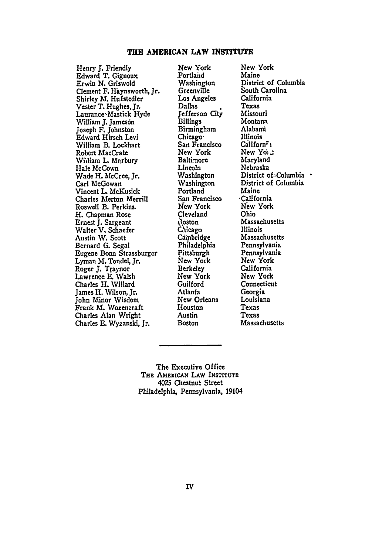#### **THE AMERICAN LAW INSTITUTE**

Henry **J.** Friendly Edward T. Gignoux Erwin **N.** Griswold Clement F. Haynsworth, Jr. Shirley M. Hufstedler Vester T. Hughes, *Jr,* Laurance-Mastick Hyde William J. Jameson Joseph F. Johnston Edward Hirsch Levi William B. Lockhart Robert MacCrate William L. Marbury Hale McCown Wade H. McCree, Jr. Carl McGowan Vincent L. McKusick Charles Merton Merrill Roswell B. Perkins. H. Chapman Rose Ernest **J.** Sargeant Walter V. Schaefer Austin W. Scott Bernard **G.** Segal Eugene Bonn Strassburger Lyman M. Tondel, Jr. Roger **J.** Traynor Lawrence **E.** Walsh Charles H. Willard James H. Wilson, Jr. John Minor Wisdom Frank M. Wozeneraft Charles Alan Wright Charles **E.** Wyzanski, Jr.

New York ,Portland **Washington** Greenville **Los** Angeles Dallas Jefferson City Billings Birmingham Chicago-San Francisco New York<br>Baltimore Lincoln Washington **Washington** Portland San Francisco New York Cleveland r'Oston **mcago** Cd'pbridge Philadelphia Pittsburgh New York Berkeley New York Guilford Atlanfa New Orleans **Houston** Austin Boston

New York Maine District of Columbia South Carolina California Texas Missouri Montana Alabam Illinois  $C$ aliforn $\mathbf{F}_1$ New Yo<sub>i</sub> Maryland Nebraska District of Columbia . District of Columbia Maine -California New York Ohio Massachusetts Illinois Massachusetts Pennsylvania Pennsylvania New York California New York Connecticut Georgia Louisiana Texas Texas Massachusetts

The Executive Office THE AMERICAN LAW INSTITUTE **4025** Chestnut Street Philadelphia, Pennsylvania, 19104

IV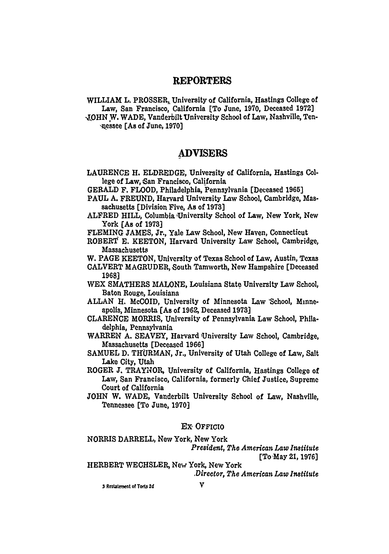## **REPORTERS**

WILLIAM L. PROSSER, University of California, Hastings College of Law, San Francisco, California (To June, **1970,** Deceased **1972]** *-JOHN* W. WADE, Vanderbilt University School of Law, Nashville, Ten- -kessee [As of June, **1970)**

## **ADVISERS**

**LAURENCE** H. ELDREDGE, University of California, Hastings College of Law, **6an** Francisco, California

**GERALD** F. FLOOD, Philadelphia, Pennsylvania [Deceased **1965]**

- **PAUL A. FREUND,** Harvard University Law School, Cambridge, Massachusetts [Division Five, As of **1973)**
- ALFRED HILL, Columbia University School of Law, New York, New York [As of **1973]**

**FLEMING JAMES,** Jr., Yale Law School, New Haven, Connecticut

ROBERT **E. KEETON,** Harvard University Law School, Cambridge, Massachusetts

W. **PAGE KEETON,** University **of** Texas School of Law, Austin, Texas

- CALVERT **MAGRUDER,** South Tamworth, New Hampshire [Deceased **1968)**
- WEX SMATHERS MALONE, Louisiana State University Law School, Baton Rouge, Louisiana
- **ALLAN** H. McCOID, University of Minnesota Law 'School, Minneapolis, Minnesota **[As** of **1962,** Deceased **1973]**
- **CLARENCE** MORRIS, University of Pennsylvania Law School, Philadelphia, Pennsylvania

WARREN **A. SEAVEY,** Harvard 'University Law School, Cambridge, Massachusetts [Deceased **1966]**

**SAMUEL D.** THURMAN, Jr., University of Utah College of Law, Salt Lake City, Utah

ROGER **J.** TRAYNOR, University of California, Hastings College of Law, San Francisco, California, formerly Chief Justice, Supreme Court of California

**JOHN** W. WADE, Vanderbilt University School of Law, Nashville, Tennessee [To June, **1970]**

#### *EX,* OFFICIO

NORRIS DARRELL, New York, New York *President, The American Law Institute*

[To-May **21, 1976]**

HERBERT **WECHSLER,** New York, New York

*,Director, The American Law Institute*

**3 Retatemwt \*f Torb 2d V**